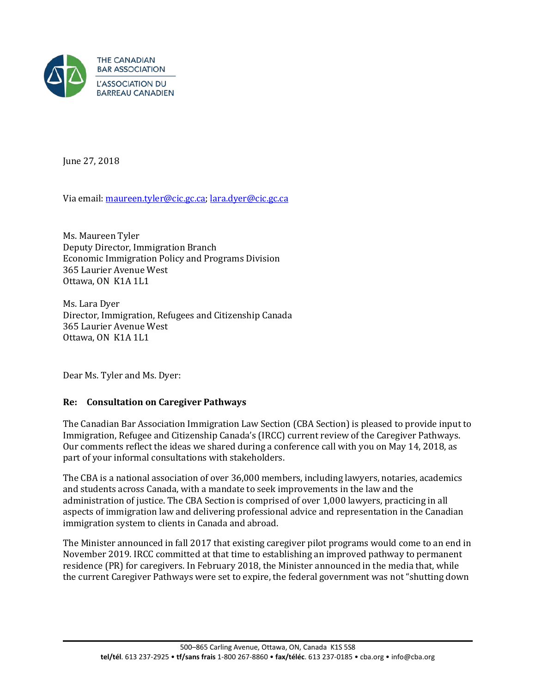

June 27, 2018

Via email[: maureen.tyler@cic.gc.ca;](mailto:maureen.tyler@cic.gc.ca) [lara.dyer@cic.gc.ca](mailto:lara.dyer@cic.gc.ca)

Ms. Maureen Tyler Deputy Director, Immigration Branch Economic Immigration Policy and Programs Division 365 Laurier Avenue West Ottawa, ON K1A 1L1

Ms. Lara Dyer Director, Immigration, Refugees and Citizenship Canada 365 Laurier Avenue West Ottawa, ON K1A 1L1

Dear Ms. Tyler and Ms. Dyer:

## **Re: Consultation on Caregiver Pathways**

The Canadian Bar Association Immigration Law Section (CBA Section) is pleased to provide input to Immigration, Refugee and Citizenship Canada's (IRCC) current review of the Caregiver Pathways. Our comments reflect the ideas we shared during a conference call with you on May 14, 2018, as part of your informal consultations with stakeholders.

The CBA is a national association of over 36,000 members, including lawyers, notaries, academics and students across Canada, with a mandate to seek improvements in the law and the administration of justice. The CBA Section is comprised of over 1,000 lawyers, practicing in all aspects of immigration law and delivering professional advice and representation in the Canadian immigration system to clients in Canada and abroad.

The Minister announced in fall 2017 that existing caregiver pilot programs would come to an end in November 2019. IRCC committed at that time to establishing an improved pathway to permanent residence (PR) for caregivers. In February 2018, the Minister announced in the media that, while the current Caregiver Pathways were set to expire, the federal government was not "shutting down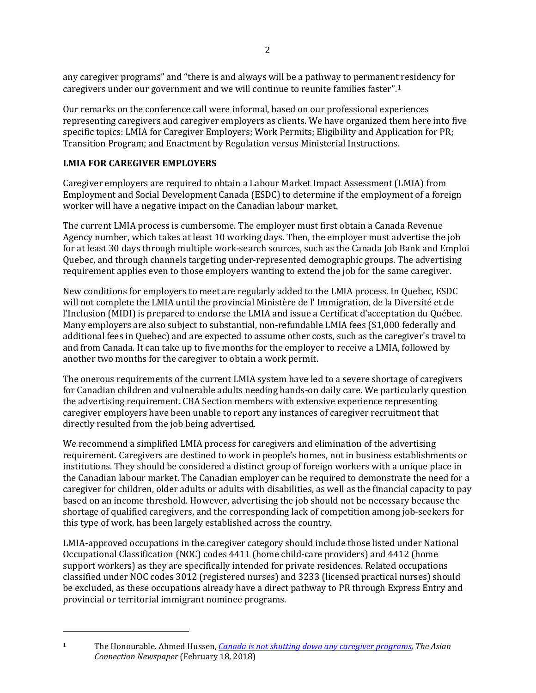any caregiver programs" and "there is and always will be a pathway to permanent residency for caregivers under our government and we will continue to reunite families faster".[1](#page-1-0) 

Our remarks on the conference call were informal, based on our professional experiences representing caregivers and caregiver employers as clients. We have organized them here into five specific topics: LMIA for Caregiver Employers; Work Permits; Eligibility and Application for PR; Transition Program; and Enactment by Regulation versus Ministerial Instructions.

# **LMIA FOR CAREGIVER EMPLOYERS**

j

Caregiver employers are required to obtain a Labour Market Impact Assessment (LMIA) from Employment and Social Development Canada (ESDC) to determine if the employment of a foreign worker will have a negative impact on the Canadian labour market.

The current LMIA process is cumbersome. The employer must first obtain a Canada Revenue Agency number, which takes at least 10 working days. Then, the employer must advertise the job for at least 30 days through multiple work-search sources, such as the Canada Job Bank and Emploi Quebec, and through channels targeting under-represented demographic groups. The advertising requirement applies even to those employers wanting to extend the job for the same caregiver.

New conditions for employers to meet are regularly added to the LMIA process. In Quebec, ESDC will not complete the LMIA until the provincial Ministère de l' Immigration, de la Diversité et de l'Inclusion (MIDI) is prepared to endorse the LMIA and issue a Certificat d'acceptation du Québec. Many employers are also subject to substantial, non-refundable LMIA fees (\$1,000 federally and additional fees in Quebec) and are expected to assume other costs, such as the caregiver's travel to and from Canada. It can take up to five months for the employer to receive a LMIA, followed by another two months for the caregiver to obtain a work permit.

The onerous requirements of the current LMIA system have led to a severe shortage of caregivers for Canadian children and vulnerable adults needing hands-on daily care. We particularly question the advertising requirement. CBA Section members with extensive experience representing caregiver employers have been unable to report any instances of caregiver recruitment that directly resulted from the job being advertised.

We recommend a simplified LMIA process for caregivers and elimination of the advertising requirement. Caregivers are destined to work in people's homes, not in business establishments or institutions. They should be considered a distinct group of foreign workers with a unique place in the Canadian labour market. The Canadian employer can be required to demonstrate the need for a caregiver for children, older adults or adults with disabilities, as well as the financial capacity to pay based on an income threshold. However, advertising the job should not be necessary because the shortage of qualified caregivers, and the corresponding lack of competition among job-seekers for this type of work, has been largely established across the country.

LMIA-approved occupations in the caregiver category should include those listed under National Occupational Classification (NOC) codes 4411 (home child-care providers) and 4412 (home support workers) as they are specifically intended for private residences. Related occupations classified under NOC codes 3012 (registered nurses) and 3233 (licensed practical nurses) should be excluded, as these occupations already have a direct pathway to PR through Express Entry and provincial or territorial immigrant nominee programs.

<span id="page-1-0"></span><sup>1</sup> The Honourable. Ahmed Hussen, *[Canada is not shutting down any caregiver programs](http://www.theasianconnectionsnewspaper.com/canada-is-not-shutting-down-any-caregiver-programs/)*, *The Asian Connection Newspaper* (February 18, 2018)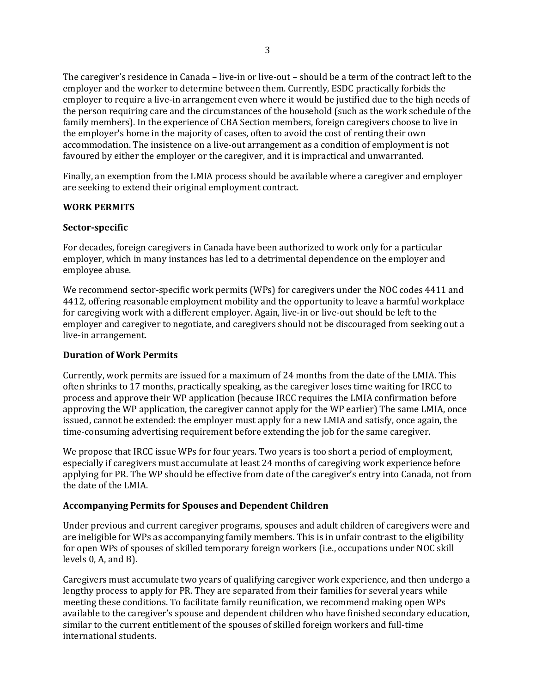The caregiver's residence in Canada – live-in or live-out – should be a term of the contract left to the employer and the worker to determine between them. Currently, ESDC practically forbids the employer to require a live-in arrangement even where it would be justified due to the high needs of the person requiring care and the circumstances of the household (such as the work schedule of the family members). In the experience of CBA Section members, foreign caregivers choose to live in the employer's home in the majority of cases, often to avoid the cost of renting their own accommodation. The insistence on a live-out arrangement as a condition of employment is not favoured by either the employer or the caregiver, and it is impractical and unwarranted.

Finally, an exemption from the LMIA process should be available where a caregiver and employer are seeking to extend their original employment contract.

#### **WORK PERMITS**

#### **Sector-specific**

For decades, foreign caregivers in Canada have been authorized to work only for a particular employer, which in many instances has led to a detrimental dependence on the employer and employee abuse.

We recommend sector-specific work permits (WPs) for caregivers under the NOC codes 4411 and 4412, offering reasonable employment mobility and the opportunity to leave a harmful workplace for caregiving work with a different employer. Again, live-in or live-out should be left to the employer and caregiver to negotiate, and caregivers should not be discouraged from seeking out a live-in arrangement.

#### **Duration of Work Permits**

Currently, work permits are issued for a maximum of 24 months from the date of the LMIA. This often shrinks to 17 months, practically speaking, as the caregiver loses time waiting for IRCC to process and approve their WP application (because IRCC requires the LMIA confirmation before approving the WP application, the caregiver cannot apply for the WP earlier) The same LMIA, once issued, cannot be extended: the employer must apply for a new LMIA and satisfy, once again, the time-consuming advertising requirement before extending the job for the same caregiver.

We propose that IRCC issue WPs for four years. Two years is too short a period of employment, especially if caregivers must accumulate at least 24 months of caregiving work experience before applying for PR. The WP should be effective from date of the caregiver's entry into Canada, not from the date of the LMIA.

## **Accompanying Permits for Spouses and Dependent Children**

Under previous and current caregiver programs, spouses and adult children of caregivers were and are ineligible for WPs as accompanying family members. This is in unfair contrast to the eligibility for open WPs of spouses of skilled temporary foreign workers (i.e., occupations under NOC skill levels 0, A, and B).

Caregivers must accumulate two years of qualifying caregiver work experience, and then undergo a lengthy process to apply for PR. They are separated from their families for several years while meeting these conditions. To facilitate family reunification, we recommend making open WPs available to the caregiver's spouse and dependent children who have finished secondary education, similar to the current entitlement of the spouses of skilled foreign workers and full-time international students.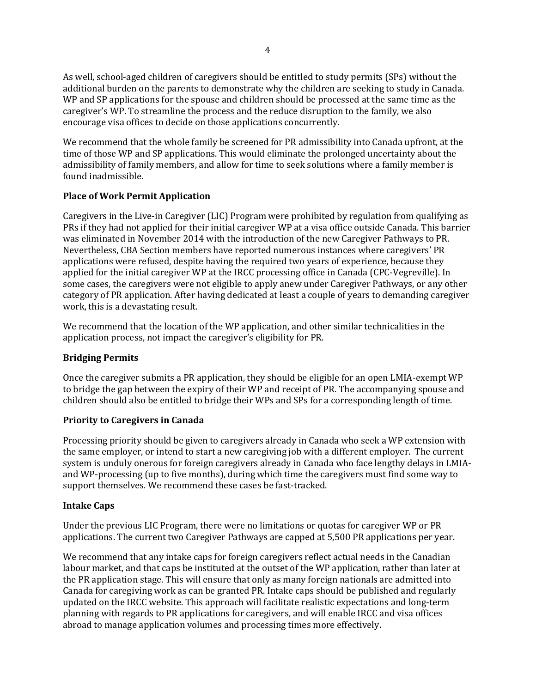As well, school-aged children of caregivers should be entitled to study permits (SPs) without the additional burden on the parents to demonstrate why the children are seeking to study in Canada. WP and SP applications for the spouse and children should be processed at the same time as the caregiver's WP. To streamline the process and the reduce disruption to the family, we also encourage visa offices to decide on those applications concurrently.

We recommend that the whole family be screened for PR admissibility into Canada upfront, at the time of those WP and SP applications. This would eliminate the prolonged uncertainty about the admissibility of family members, and allow for time to seek solutions where a family member is found inadmissible.

## **Place of Work Permit Application**

Caregivers in the Live-in Caregiver (LIC) Program were prohibited by regulation from qualifying as PRs if they had not applied for their initial caregiver WP at a visa office outside Canada. This barrier was eliminated in November 2014 with the introduction of the new Caregiver Pathways to PR. Nevertheless, CBA Section members have reported numerous instances where caregivers' PR applications were refused, despite having the required two years of experience, because they applied for the initial caregiver WP at the IRCC processing office in Canada (CPC-Vegreville). In some cases, the caregivers were not eligible to apply anew under Caregiver Pathways, or any other category of PR application. After having dedicated at least a couple of years to demanding caregiver work, this is a devastating result.

We recommend that the location of the WP application, and other similar technicalities in the application process, not impact the caregiver's eligibility for PR.

#### **Bridging Permits**

Once the caregiver submits a PR application, they should be eligible for an open LMIA-exempt WP to bridge the gap between the expiry of their WP and receipt of PR. The accompanying spouse and children should also be entitled to bridge their WPs and SPs for a corresponding length of time.

#### **Priority to Caregivers in Canada**

Processing priority should be given to caregivers already in Canada who seek a WP extension with the same employer, or intend to start a new caregiving job with a different employer. The current system is unduly onerous for foreign caregivers already in Canada who face lengthy delays in LMIAand WP-processing (up to five months), during which time the caregivers must find some way to support themselves. We recommend these cases be fast-tracked.

## **Intake Caps**

Under the previous LIC Program, there were no limitations or quotas for caregiver WP or PR applications. The current two Caregiver Pathways are capped at 5,500 PR applications per year.

We recommend that any intake caps for foreign caregivers reflect actual needs in the Canadian labour market, and that caps be instituted at the outset of the WP application, rather than later at the PR application stage. This will ensure that only as many foreign nationals are admitted into Canada for caregiving work as can be granted PR. Intake caps should be published and regularly updated on the IRCC website. This approach will facilitate realistic expectations and long-term planning with regards to PR applications for caregivers, and will enable IRCC and visa offices abroad to manage application volumes and processing times more effectively.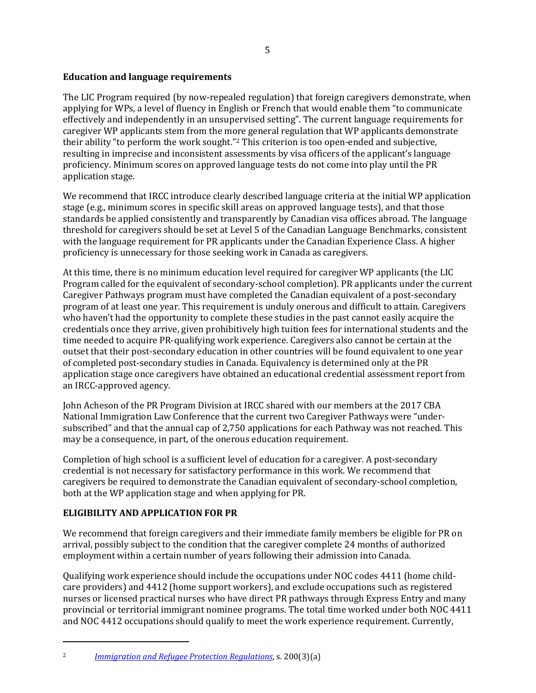## **Education and language requirements**

The LIC Program required (by now-repealed regulation) that foreign caregivers demonstrate, when applying for WPs, a level of fluency in English or French that would enable them "to communicate effectively and independently in an unsupervised setting". The current language requirements for caregiver WP applicants stem from the more general regulation that WP applicants demonstrate their ability "to perform the work sought."[2](#page-4-0) This criterion is too open-ended and subjective, resulting in imprecise and inconsistent assessments by visa officers of the applicant's language proficiency. Minimum scores on approved language tests do not come into play until the PR application stage.

We recommend that IRCC introduce clearly described language criteria at the initial WP application stage (e.g., minimum scores in specific skill areas on approved language tests), and that those standards be applied consistently and transparently by Canadian visa offices abroad. The language threshold for caregivers should be set at Level 5 of the Canadian Language Benchmarks, consistent with the language requirement for PR applicants under the Canadian Experience Class. A higher proficiency is unnecessary for those seeking work in Canada as caregivers.

At this time, there is no minimum education level required for caregiver WP applicants (the LIC Program called for the equivalent of secondary-school completion). PR applicants under the current Caregiver Pathways program must have completed the Canadian equivalent of a post-secondary program of at least one year. This requirement is unduly onerous and difficult to attain. Caregivers who haven't had the opportunity to complete these studies in the past cannot easily acquire the credentials once they arrive, given prohibitively high tuition fees for international students and the time needed to acquire PR-qualifying work experience. Caregivers also cannot be certain at the outset that their post-secondary education in other countries will be found equivalent to one year of completed post-secondary studies in Canada. Equivalency is determined only at the PR application stage once caregivers have obtained an educational credential assessment report from an IRCC-approved agency.

John Acheson of the PR Program Division at IRCC shared with our members at the 2017 CBA National Immigration Law Conference that the current two Caregiver Pathways were "undersubscribed" and that the annual cap of 2,750 applications for each Pathway was not reached. This may be a consequence, in part, of the onerous education requirement.

Completion of high school is a sufficient level of education for a caregiver. A post-secondary credential is not necessary for satisfactory performance in this work. We recommend that caregivers be required to demonstrate the Canadian equivalent of secondary-school completion, both at the WP application stage and when applying for PR.

# **ELIGIBILITY AND APPLICATION FOR PR**

j

We recommend that foreign caregivers and their immediate family members be eligible for PR on arrival, possibly subject to the condition that the caregiver complete 24 months of authorized employment within a certain number of years following their admission into Canada.

Qualifying work experience should include the occupations under NOC codes 4411 (home childcare providers) and 4412 (home support workers), and exclude occupations such as registered nurses or licensed practical nurses who have direct PR pathways through Express Entry and many provincial or territorial immigrant nominee programs. The total time worked under both NOC 4411 and NOC 4412 occupations should qualify to meet the work experience requirement. Currently,

<span id="page-4-0"></span><sup>2</sup> *[Immigration and Refugee Protection Regulations](https://www.canlii.org/en/ca/laws/regu/sor-2002-227/latest/sor-2002-227.html?autocompleteStr=Immigration%20and%20Refugee%20Protection%20Regulations&autocompletePos=1)*, s. 200(3)(a)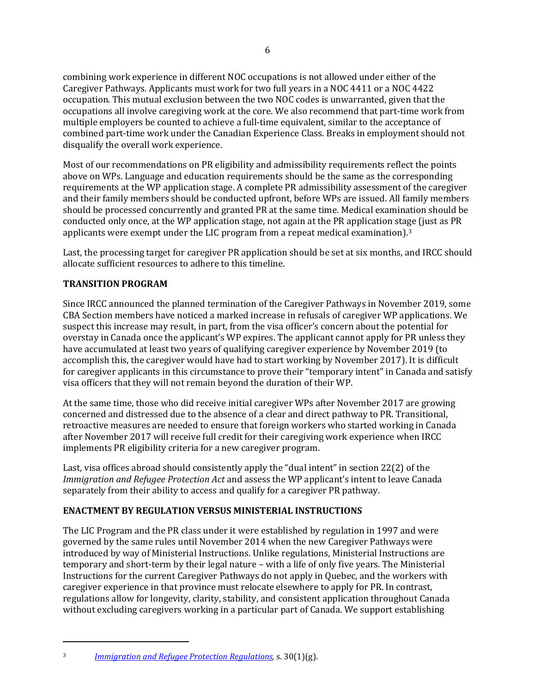combining work experience in different NOC occupations is not allowed under either of the Caregiver Pathways. Applicants must work for two full years in a NOC 4411 or a NOC 4422 occupation. This mutual exclusion between the two NOC codes is unwarranted, given that the occupations all involve caregiving work at the core. We also recommend that part-time work from multiple employers be counted to achieve a full-time equivalent, similar to the acceptance of combined part-time work under the Canadian Experience Class. Breaks in employment should not disqualify the overall work experience.

Most of our recommendations on PR eligibility and admissibility requirements reflect the points above on WPs. Language and education requirements should be the same as the corresponding requirements at the WP application stage. A complete PR admissibility assessment of the caregiver and their family members should be conducted upfront, before WPs are issued. All family members should be processed concurrently and granted PR at the same time. Medical examination should be conducted only once, at the WP application stage, not again at the PR application sta[ge](#page-5-0) (just as PR applicants were exempt under the LIC program from a repeat medical examination).3

Last, the processing target for caregiver PR application should be set at six months, and IRCC should allocate sufficient resources to adhere to this timeline.

## **TRANSITION PROGRAM**

Since IRCC announced the planned termination of the Caregiver Pathways in November 2019, some CBA Section members have noticed a marked increase in refusals of caregiver WP applications. We suspect this increase may result, in part, from the visa officer's concern about the potential for overstay in Canada once the applicant's WP expires. The applicant cannot apply for PR unless they have accumulated at least two years of qualifying caregiver experience by November 2019 (to accomplish this, the caregiver would have had to start working by November 2017). It is difficult for caregiver applicants in this circumstance to prove their "temporary intent" in Canada and satisfy visa officers that they will not remain beyond the duration of their WP.

At the same time, those who did receive initial caregiver WPs after November 2017 are growing concerned and distressed due to the absence of a clear and direct pathway to PR. Transitional, retroactive measures are needed to ensure that foreign workers who started working in Canada after November 2017 will receive full credit for their caregiving work experience when IRCC implements PR eligibility criteria for a new caregiver program.

Last, visa offices abroad should consistently apply the "dual intent" in section 22(2) of the *Immigration and Refugee Protection Act* and assess the WP applicant's intent to leave Canada separately from their ability to access and qualify for a caregiver PR pathway.

## **ENACTMENT BY REGULATION VERSUS MINISTERIAL INSTRUCTIONS**

The LIC Program and the PR class under it were established by regulation in 1997 and were governed by the same rules until November 2014 when the new Caregiver Pathways were introduced by way of Ministerial Instructions. Unlike regulations, Ministerial Instructions are temporary and short-term by their legal nature – with a life of only five years. The Ministerial Instructions for the current Caregiver Pathways do not apply in Quebec, and the workers with caregiver experience in that province must relocate elsewhere to apply for PR. In contrast, regulations allow for longevity, clarity, stability, and consistent application throughout Canada without excluding caregivers working in a particular part of Canada. We support establishing

j

<span id="page-5-0"></span><sup>3</sup> *[Immigration and Refugee Protection Regulations,](https://www.canlii.org/en/ca/laws/regu/sor-2002-227/latest/sor-2002-227.html?autocompleteStr=Immigration%20and%20Refugee%20Protection%20Regulations&autocompletePos=1)* s. 30(1)(g).